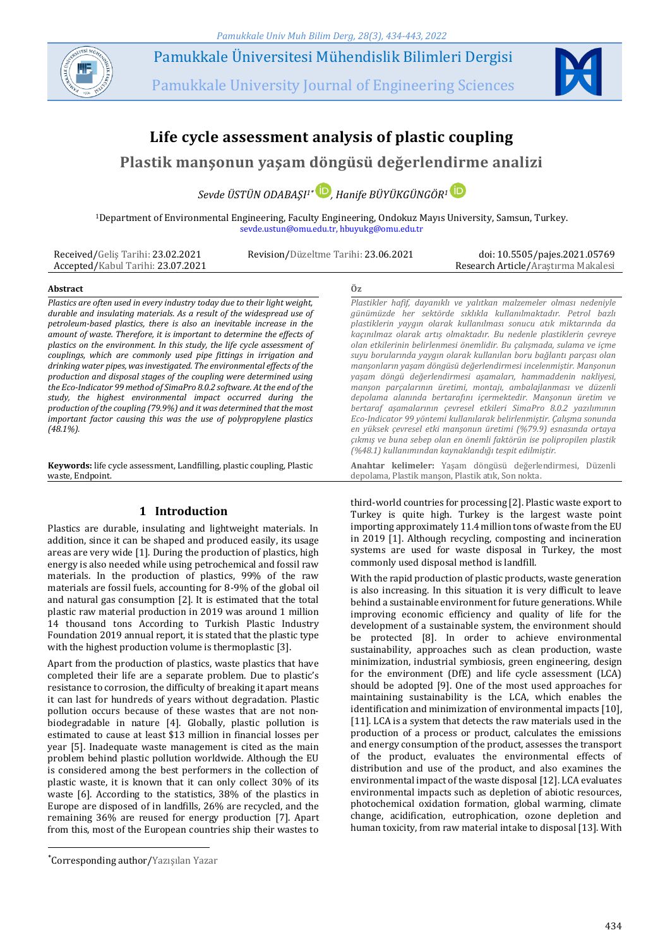

Pamukkale Üniversitesi Mühendislik Bilimleri Dergisi

Pamukkale University Journal of Engineering Sciences



# **Life cycle assessment analysis of plastic coupling**

**Plastik manşonun yaşam döngüsü değerlendirme analizi**

*Sevde ÜSTÜN ODABAŞI 1\* , Hanife BÜYÜKGÜNGÖR<sup>1</sup>*

<sup>1</sup>Department of Environmental Engineering, Faculty Engineering, Ondokuz Mayıs University, Samsun, Turkey. sevde.ustun@omu.edu.tr, hbuyukg@omu.edu.tr

Received/Geliş Tarihi: 23.02.2021 Accepted/Kabul Tarihi: 23.07.2021

Revision/Düzeltme Tarihi: 23.06.2021 doi: 10.5505/pajes.2021.05769 Research Article/Araştırma Makalesi

#### **Abstract Öz**

*Plastics are often used in every industry today due to their light weight, durable and insulating materials. As a result of the widespread use of petroleum-based plastics, there is also an inevitable increase in the amount of waste. Therefore, it is important to determine the effects of plastics on the environment. In this study, the life cycle assessment of couplings, which are commonly used pipe fittings in irrigation and drinking water pipes, was investigated. The environmental effects of the production and disposal stages of the coupling were determined using the Eco-Indicator 99 method of SimaPro 8.0.2 software. At the end of the study, the highest environmental impact occurred during the production of the coupling (79.9%) and it was determined that the most important factor causing this was the use of polypropylene plastics (48.1%).*

**Keywords:** life cycle assessment, Landfilling, plastic coupling, Plastic waste, Endpoint.

## **1 Introduction**

Plastics are durable, insulating and lightweight materials. In addition, since it can be shaped and produced easily, its usage areas are very wide [1]. During the production of plastics, high energy is also needed while using petrochemical and fossil raw materials. In the production of plastics, 99% of the raw materials are fossil fuels, accounting for 8-9% of the global oil and natural gas consumption [2]. It is estimated that the total plastic raw material production in 2019 was around 1 million 14 thousand tons According to Turkish Plastic Industry Foundation 2019 annual report, it is stated that the plastic type with the highest production volume is thermoplastic [3].

Apart from the production of plastics, waste plastics that have completed their life are a separate problem. Due to plastic's resistance to corrosion, the difficulty of breaking it apart means it can last for hundreds of years without degradation. Plastic pollution occurs because of these wastes that are not nonbiodegradable in nature [4]. Globally, plastic pollution is estimated to cause at least \$13 million in financial losses per year [5]. Inadequate waste management is cited as the main problem behind plastic pollution worldwide. Although the EU is considered among the best performers in the collection of plastic waste, it is known that it can only collect 30% of its waste [6]. According to the statistics, 38% of the plastics in Europe are disposed of in landfills, 26% are recycled, and the remaining 36% are reused for energy production [7]. Apart from this, most of the European countries ship their wastes to

 $\overline{a}$ 

*Plastikler hafif, dayanıklı ve yalıtkan malzemeler olması nedeniyle günümüzde her sektörde sıklıkla kullanılmaktadır. Petrol bazlı plastiklerin yaygın olarak kullanılması sonucu atık miktarında da kaçınılmaz olarak artış olmaktadır. Bu nedenle plastiklerin çevreye olan etkilerinin belirlenmesi önemlidir. Bu çalışmada, sulama ve içme suyu borularında yaygın olarak kullanılan boru bağlantı parçası olan manşonların yaşam döngüsü değerlendirmesi incelenmiştir. Manşonun yaşam döngü değerlendirmesi aşamaları, hammaddenin nakliyesi, manşon parçalarının üretimi, montajı, ambalajlanması ve düzenli depolama alanında bertarafını içermektedir. Manşonun üretim ve bertaraf aşamalarının çevresel etkileri SimaPro 8.0.2 yazılımının Eco-Indicator 99 yöntemi kullanılarak belirlenmiştir. Çalışma sonunda en yüksek çevresel etki manşonun üretimi (%79.9) esnasında ortaya çıkmış ve buna sebep olan en önemli faktörün ise polipropilen plastik (%48.1) kullanımından kaynaklandığı tespit edilmiştir.*

**Anahtar kelimeler:** Yaşam döngüsü değerlendirmesi, Düzenli depolama, Plastik manşon, Plastik atık, Son nokta.

third-world countries for processing [2]. Plastic waste export to Turkey is quite high. Turkey is the largest waste point importing approximately 11.4 million tons of waste from the EU in 2019 [1]. Although recycling, composting and incineration systems are used for waste disposal in Turkey, the most commonly used disposal method is landfill.

With the rapid production of plastic products, waste generation is also increasing. In this situation it is very difficult to leave behind a sustainable environment for future generations. While improving economic efficiency and quality of life for the development of a sustainable system, the environment should be protected [8]. In order to achieve environmental sustainability, approaches such as clean production, waste minimization, industrial symbiosis, green engineering, design for the environment (DfE) and life cycle assessment (LCA) should be adopted [9]. One of the most used approaches for maintaining sustainability is the LCA, which enables the identification and minimization of environmental impacts [10], [11]. LCA is a system that detects the raw materials used in the production of a process or product, calculates the emissions and energy consumption of the product, assesses the transport of the product, evaluates the environmental effects of distribution and use of the product, and also examines the environmental impact of the waste disposal [12]. LCA evaluates environmental impacts such as depletion of abiotic resources, photochemical oxidation formation, global warming, climate change, acidification, eutrophication, ozone depletion and human toxicity, from raw material intake to disposal [13]. With

<sup>\*</sup>Corresponding author/Yazışılan Yazar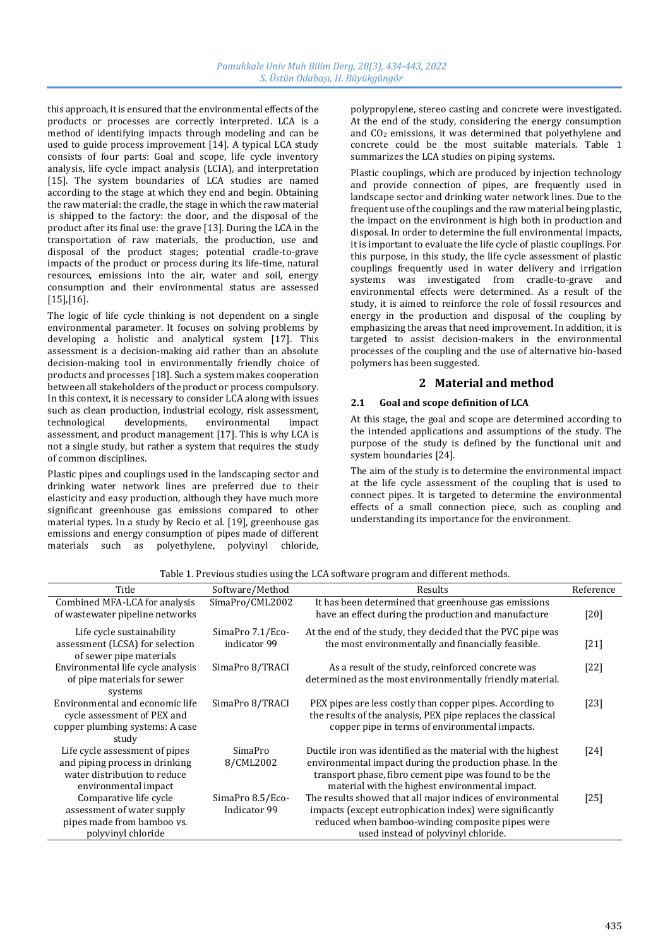this approach, it is ensured that the environmental effects of the products or processes are correctly interpreted. LCA is a method of identifying impacts through modeling and can be used to guide process improvement [14]. A typical LCA study consists of four parts: Goal and scope, life cycle inventory analysis, life cycle impact analysis (LCIA), and interpretation [15]. The system boundaries of LCA studies are named according to the stage at which they end and begin. Obtaining the raw material: the cradle, the stage in which the raw material is shipped to the factory: the door, and the disposal of the product after its final use: the grave [13]. During the LCA in the transportation of raw materials, the production, use and disposal of the product stages; potential cradle-to-grave impacts of the product or process during its life-time, natural resources, emissions into the air, water and soil, energy consumption and their environmental status are assessed [15],[16].

The logic of life cycle thinking is not dependent on a single environmental parameter. It focuses on solving problems by developing a holistic and analytical system [17]. This assessment is a decision-making aid rather than an absolute decision-making tool in environmentally friendly choice of products and processes [18]. Such a system makes cooperation between all stakeholders of the product or process compulsory. In this context, it is necessary to consider LCA along with issues such as clean production, industrial ecology, risk assessment, technological developments, environmental impact assessment, and product management [17]. This is why LCA is not a single study, but rather a system that requires the study of common disciplines.

Plastic pipes and couplings used in the landscaping sector and drinking water network lines are preferred due to their elasticity and easy production, although they have much more significant greenhouse gas emissions compared to other material types. In a study by Recio et al. [19], greenhouse gas emissions and energy consumption of pipes made of different materials such as polyethylene, polyvinyl chloride, polypropylene, stereo casting and concrete were investigated. At the end of the study, considering the energy consumption and CO<sup>2</sup> emissions, it was determined that polyethylene and concrete could be the most suitable materials. Table 1 summarizes the LCA studies on piping systems.

Plastic couplings, which are produced by injection technology and provide connection of pipes, are frequently used in landscape sector and drinking water network lines. Due to the frequent use of the couplings and the raw material being plastic, the impact on the environment is high both in production and disposal. In order to determine the full environmental impacts, it is important to evaluate the life cycle of plastic couplings. For this purpose, in this study, the life cycle assessment of plastic couplings frequently used in water delivery and irrigation systems was investigated from cradle-to-grave and environmental effects were determined. As a result of the study, it is aimed to reinforce the role of fossil resources and energy in the production and disposal of the coupling by emphasizing the areas that need improvement. In addition, it is targeted to assist decision-makers in the environmental processes of the coupling and the use of alternative bio-based polymers has been suggested.

# **2 Material and method**

# **2.1 Goal and scope definition of LCA**

At this stage, the goal and scope are determined according to the intended applications and assumptions of the study. The purpose of the study is defined by the functional unit and system boundaries [24].

The aim of the study is to determine the environmental impact at the life cycle assessment of the coupling that is used to connect pipes. It is targeted to determine the environmental effects of a small connection piece, such as coupling and understanding its importance for the environment.

| Title                             | Software/Method  | Results                                                      | Reference |
|-----------------------------------|------------------|--------------------------------------------------------------|-----------|
| Combined MFA-LCA for analysis     | SimaPro/CML2002  | It has been determined that greenhouse gas emissions         |           |
| of wastewater pipeline networks   |                  | have an effect during the production and manufacture         | [20]      |
| Life cycle sustainability         | SimaPro 7.1/Eco- | At the end of the study, they decided that the PVC pipe was  |           |
| assessment (LCSA) for selection   | indicator 99     | the most environmentally and financially feasible.           | $[21]$    |
| of sewer pipe materials           |                  |                                                              |           |
| Environmental life cycle analysis | SimaPro 8/TRACI  | As a result of the study, reinforced concrete was            | $[22]$    |
| of pipe materials for sewer       |                  | determined as the most environmentally friendly material.    |           |
| systems                           |                  |                                                              |           |
| Environmental and economic life   | SimaPro 8/TRACI  | PEX pipes are less costly than copper pipes. According to    | [23]      |
| cycle assessment of PEX and       |                  | the results of the analysis, PEX pipe replaces the classical |           |
| copper plumbing systems: A case   |                  | copper pipe in terms of environmental impacts.               |           |
| study                             |                  |                                                              |           |
| Life cycle assessment of pipes    | SimaPro          | Ductile iron was identified as the material with the highest | [24]      |
| and piping process in drinking    | 8/CML2002        | environmental impact during the production phase. In the     |           |
| water distribution to reduce      |                  | transport phase, fibro cement pipe was found to be the       |           |
| environmental impact              |                  | material with the highest environmental impact.              |           |
| Comparative life cycle            | SimaPro 8.5/Eco- | The results showed that all major indices of environmental   | $[25]$    |
| assessment of water supply        | Indicator 99     | impacts (except eutrophication index) were significantly     |           |
| pipes made from bamboo vs.        |                  | reduced when bamboo-winding composite pipes were             |           |
| polyvinyl chloride                |                  | used instead of polyvinyl chloride.                          |           |

Table 1. Previous studies using the LCA software program and different methods.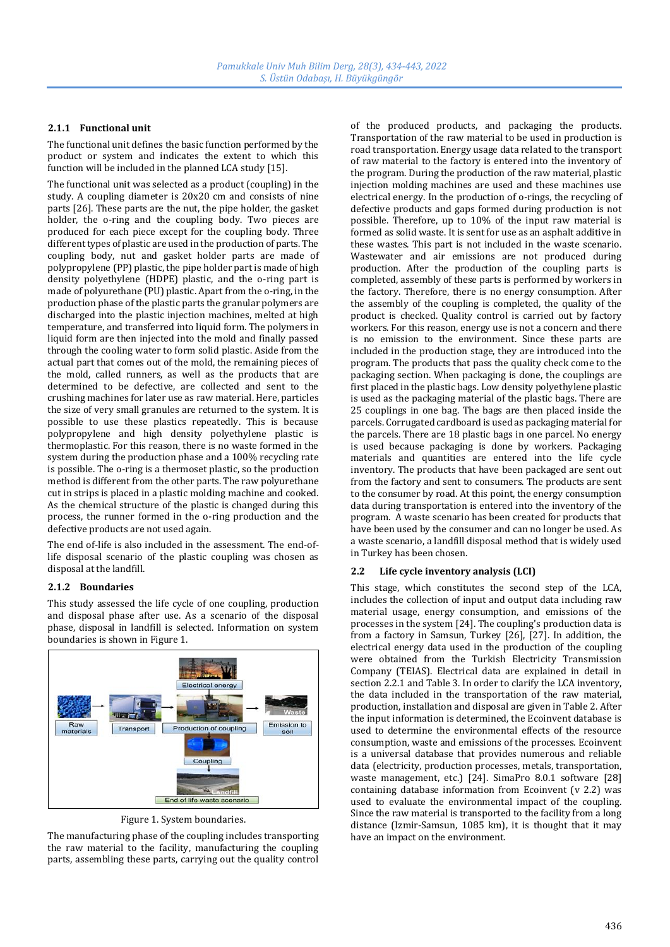#### **2.1.1 Functional unit**

The functional unit defines the basic function performed by the product or system and indicates the extent to which this function will be included in the planned LCA study [15].

The functional unit was selected as a product (coupling) in the study. A coupling diameter is 20x20 cm and consists of nine parts [26]. These parts are the nut, the pipe holder, the gasket holder, the o-ring and the coupling body. Two pieces are produced for each piece except for the coupling body. Three different types of plastic are used in the production of parts. The coupling body, nut and gasket holder parts are made of polypropylene (PP) plastic, the pipe holder part is made of high density polyethylene (HDPE) plastic, and the o-ring part is made of polyurethane (PU) plastic. Apart from the o-ring, in the production phase of the plastic parts the granular polymers are discharged into the plastic injection machines, melted at high temperature, and transferred into liquid form. The polymers in liquid form are then injected into the mold and finally passed through the cooling water to form solid plastic. Aside from the actual part that comes out of the mold, the remaining pieces of the mold, called runners, as well as the products that are determined to be defective, are collected and sent to the crushing machines for later use as raw material. Here, particles the size of very small granules are returned to the system. It is possible to use these plastics repeatedly. This is because polypropylene and high density polyethylene plastic is thermoplastic. For this reason, there is no waste formed in the system during the production phase and a 100% recycling rate is possible. The o-ring is a thermoset plastic, so the production method is different from the other parts. The raw polyurethane cut in strips is placed in a plastic molding machine and cooked. As the chemical structure of the plastic is changed during this process, the runner formed in the o-ring production and the defective products are not used again.

The end of-life is also included in the assessment. The end-oflife disposal scenario of the plastic coupling was chosen as disposal at the landfill.

#### **2.1.2 Boundaries**

This study assessed the life cycle of one coupling, production and disposal phase after use. As a scenario of the disposal phase, disposal in landfill is selected. Information on system boundaries is shown in Figure 1.



Figure 1. System boundaries.

The manufacturing phase of the coupling includes transporting the raw material to the facility, manufacturing the coupling parts, assembling these parts, carrying out the quality control

of the produced products, and packaging the products. Transportation of the raw material to be used in production is road transportation. Energy usage data related to the transport of raw material to the factory is entered into the inventory of the program. During the production of the raw material, plastic injection molding machines are used and these machines use electrical energy. In the production of o-rings, the recycling of defective products and gaps formed during production is not possible. Therefore, up to 10% of the input raw material is formed as solid waste. It is sent for use as an asphalt additive in these wastes. This part is not included in the waste scenario. Wastewater and air emissions are not produced during production. After the production of the coupling parts is completed, assembly of these parts is performed by workers in the factory. Therefore, there is no energy consumption. After the assembly of the coupling is completed, the quality of the product is checked. Quality control is carried out by factory workers. For this reason, energy use is not a concern and there is no emission to the environment. Since these parts are included in the production stage, they are introduced into the program. The products that pass the quality check come to the packaging section. When packaging is done, the couplings are first placed in the plastic bags. Low density polyethylene plastic is used as the packaging material of the plastic bags. There are 25 couplings in one bag. The bags are then placed inside the parcels. Corrugated cardboard is used as packaging material for the parcels. There are 18 plastic bags in one parcel. No energy is used because packaging is done by workers. Packaging materials and quantities are entered into the life cycle inventory. The products that have been packaged are sent out from the factory and sent to consumers. The products are sent to the consumer by road. At this point, the energy consumption data during transportation is entered into the inventory of the program. A waste scenario has been created for products that have been used by the consumer and can no longer be used. As a waste scenario, a landfill disposal method that is widely used in Turkey has been chosen.

### **2.2 Life cycle inventory analysis (LCI)**

This stage, which constitutes the second step of the LCA, includes the collection of input and output data including raw material usage, energy consumption, and emissions of the processes in the system [24]. The coupling's production data is from a factory in Samsun, Turkey [26], [27]. In addition, the electrical energy data used in the production of the coupling were obtained from the Turkish Electricity Transmission Company (TEIAS). Electrical data are explained in detail in section 2.2.1 and Table 3. In order to clarify the LCA inventory, the data included in the transportation of the raw material, production, installation and disposal are given in Table 2. After the input information is determined, the Ecoinvent database is used to determine the environmental effects of the resource consumption, waste and emissions of the processes. Ecoinvent is a universal database that provides numerous and reliable data (electricity, production processes, metals, transportation, waste management, etc.) [24]. SimaPro 8.0.1 software [28] containing database information from Ecoinvent (v 2.2) was used to evaluate the environmental impact of the coupling. Since the raw material is transported to the facility from a long distance (Izmir-Samsun, 1085 km), it is thought that it may have an impact on the environment.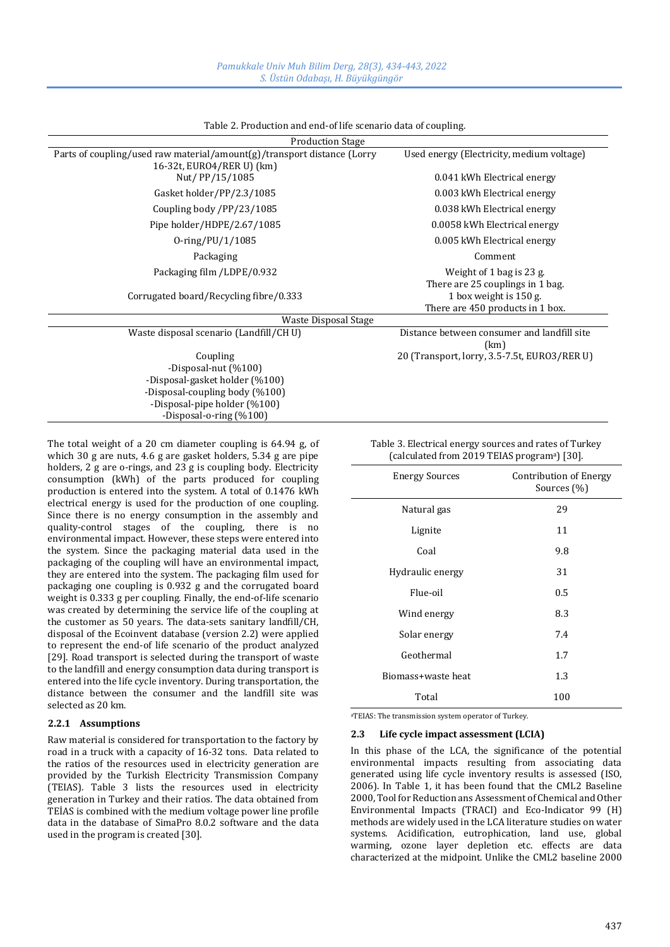| <b>Production Stage</b>                                                                              |                                                              |  |  |  |
|------------------------------------------------------------------------------------------------------|--------------------------------------------------------------|--|--|--|
| Parts of coupling/used raw material/amount(g)/transport distance (Lorry<br>16-32t, EURO4/RER U) (km) | Used energy (Electricity, medium voltage)                    |  |  |  |
| Nut/PP/15/1085                                                                                       | 0.041 kWh Electrical energy                                  |  |  |  |
| Gasket holder/PP/2.3/1085                                                                            | 0.003 kWh Electrical energy                                  |  |  |  |
| Coupling body /PP/23/1085                                                                            | 0.038 kWh Electrical energy                                  |  |  |  |
| Pipe holder/HDPE/2.67/1085                                                                           | 0.0058 kWh Electrical energy                                 |  |  |  |
| $0$ -ring/PU/1/1085                                                                                  | 0.005 kWh Electrical energy                                  |  |  |  |
| Packaging                                                                                            | Comment                                                      |  |  |  |
| Packaging film /LDPE/0.932                                                                           | Weight of 1 bag is 23 g.<br>There are 25 couplings in 1 bag. |  |  |  |
| Corrugated board/Recycling fibre/0.333                                                               | 1 box weight is 150 g.<br>There are 450 products in 1 box.   |  |  |  |
| Waste Disposal Stage                                                                                 |                                                              |  |  |  |
| Waste disposal scenario (Landfill/CH U)                                                              | Distance between consumer and landfill site<br>(km)          |  |  |  |
| Coupling<br>-Disposal-nut (%100)<br>-Disposal-gasket holder (%100)<br>-Disposal-coupling body (%100) | 20 (Transport, lorry, 3.5-7.5t, EURO3/RER U)                 |  |  |  |

Table 2. Production and end-of life scenario data of coupling.

The total weight of a 20 cm diameter coupling is 64.94 g, of which 30 g are nuts, 4.6 g are gasket holders, 5.34 g are pipe holders, 2 g are o-rings, and 23 g is coupling body. Electricity consumption (kWh) of the parts produced for coupling production is entered into the system. A total of 0.1476 kWh electrical energy is used for the production of one coupling. Since there is no energy consumption in the assembly and quality-control stages of the coupling, there is no environmental impact. However, these steps were entered into the system. Since the packaging material data used in the packaging of the coupling will have an environmental impact, they are entered into the system. The packaging film used for packaging one coupling is 0.932 g and the corrugated board weight is 0.333 g per coupling. Finally, the end-of-life scenario was created by determining the service life of the coupling at the customer as 50 years. The data-sets sanitary landfill/CH, disposal of the Ecoinvent database (version 2.2) were applied to represent the end-of life scenario of the product analyzed [29]. Road transport is selected during the transport of waste to the landfill and energy consumption data during transport is entered into the life cycle inventory. During transportation, the distance between the consumer and the landfill site was selected as 20 km.

-Disposal-pipe holder (%100) -Disposal-o-ring (%100)

### **2.2.1 Assumptions**

Raw material is considered for transportation to the factory by road in a truck with a capacity of 16-32 tons. Data related to the ratios of the resources used in electricity generation are provided by the Turkish Electricity Transmission Company (TEIAS). Table 3 lists the resources used in electricity generation in Turkey and their ratios. The data obtained from TEİAS is combined with the medium voltage power line profile data in the database of SimaPro 8.0.2 software and the data used in the program is created [30].

Table 3. Electrical energy sources and rates of Turkey (calculated from 2019 TEIAS programa) [30].

| <b>Energy Sources</b> | Contribution of Energy<br>Sources $(\%)$ |
|-----------------------|------------------------------------------|
| Natural gas           | 29                                       |
| Lignite               | 11                                       |
| Coal                  | 9.8                                      |
| Hydraulic energy      | 31                                       |
| Flue-oil              | 0.5                                      |
| Wind energy           | 8.3                                      |
| Solar energy          | 7.4                                      |
| Geothermal            | 1.7                                      |
| Biomass+waste heat    | 1.3                                      |
| Total                 | 100                                      |

<sup>a</sup>TEIAS: The transmission system operator of Turkey.

#### **2.3 Life cycle impact assessment (LCIA)**

In this phase of the LCA, the significance of the potential environmental impacts resulting from associating data generated using life cycle inventory results is assessed (ISO, 2006). In Table 1, it has been found that the CML2 Baseline 2000, Tool for Reduction ans Assessment of Chemical and Other Environmental Impacts (TRACI) and Eco-Indicator 99 (H) methods are widely used in the LCA literature studies on water systems. Acidification, eutrophication, land use, global warming, ozone layer depletion etc. effects are data characterized at the midpoint. Unlike the CML2 baseline 2000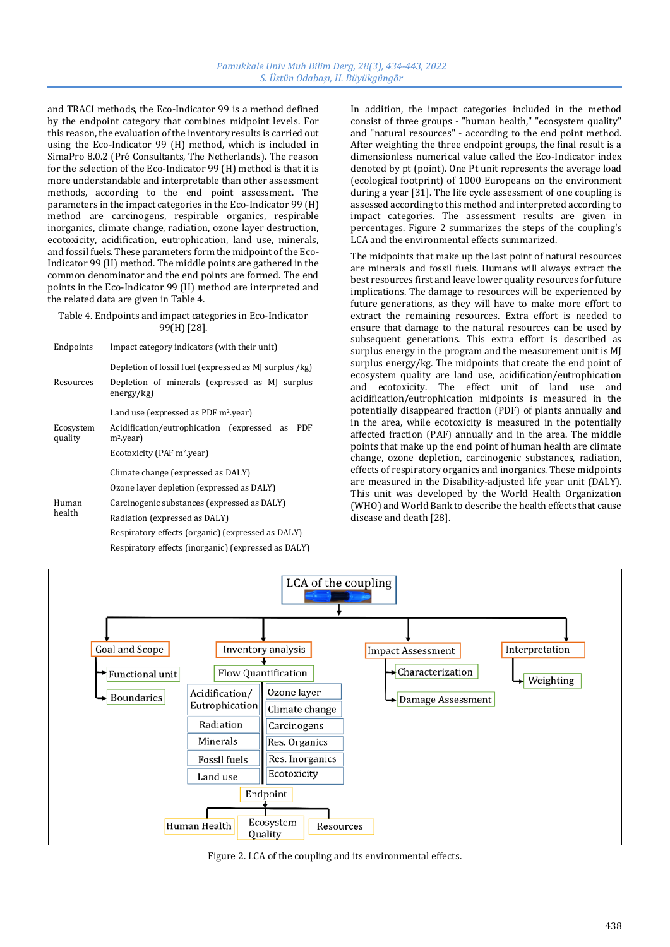and TRACI methods, the Eco-Indicator 99 is a method defined by the endpoint category that combines midpoint levels. For this reason, the evaluation of the inventory results is carried out using the Eco-Indicator 99 (H) method, which is included in SimaPro 8.0.2 (Pré Consultants, The Netherlands). The reason for the selection of the Eco-Indicator 99 (H) method is that it is more understandable and interpretable than other assessment methods, according to the end point assessment. The parameters in the impact categories in the Eco-Indicator 99 (H) method are carcinogens, respirable organics, respirable inorganics, climate change, radiation, ozone layer destruction, ecotoxicity, acidification, eutrophication, land use, minerals, and fossil fuels. These parameters form the midpoint of the Eco-Indicator 99 (H) method. The middle points are gathered in the common denominator and the end points are formed. The end points in the Eco-Indicator 99 (H) method are interpreted and the related data are given in Table 4.

Table 4. Endpoints and impact categories in Eco-Indicator 99(H) [28].

| Endpoints            | Impact category indicators (with their unit)                      |  |  |
|----------------------|-------------------------------------------------------------------|--|--|
|                      | Depletion of fossil fuel (expressed as MJ surplus /kg)            |  |  |
| Resources            | Depletion of minerals (expressed as MJ surplus<br>energy/kg)      |  |  |
| Ecosystem<br>quality | Land use (expressed as PDF m <sup>2</sup> .year)                  |  |  |
|                      | Acidification/eutrophication (expressed as<br>PDF<br>$m^2$ .year) |  |  |
|                      | Ecotoxicity (PAF m <sup>2</sup> .year)                            |  |  |
| Human<br>health      | Climate change (expressed as DALY)                                |  |  |
|                      | Ozone layer depletion (expressed as DALY)                         |  |  |
|                      | Carcinogenic substances (expressed as DALY)                       |  |  |
|                      | Radiation (expressed as DALY)                                     |  |  |
|                      | Respiratory effects (organic) (expressed as DALY)                 |  |  |
|                      | Respiratory effects (inorganic) (expressed as DALY)               |  |  |

In addition, the impact categories included in the method consist of three groups - "human health," "ecosystem quality" and "natural resources" - according to the end point method. After weighting the three endpoint groups, the final result is a dimensionless numerical value called the Eco-Indicator index denoted by pt (point). One Pt unit represents the average load (ecological footprint) of 1000 Europeans on the environment during a year [31]. The life cycle assessment of one coupling is assessed according to this method and interpreted according to impact categories. The assessment results are given in percentages. Figure 2 summarizes the steps of the coupling's LCA and the environmental effects summarized.

The midpoints that make up the last point of natural resources are minerals and fossil fuels. Humans will always extract the best resources first and leave lower quality resources for future implications. The damage to resources will be experienced by future generations, as they will have to make more effort to extract the remaining resources. Extra effort is needed to ensure that damage to the natural resources can be used by subsequent generations. This extra effort is described as surplus energy in the program and the measurement unit is MJ surplus energy/kg. The midpoints that create the end point of ecosystem quality are land use, acidification/eutrophication and ecotoxicity. The effect unit of land use and acidification/eutrophication midpoints is measured in the potentially disappeared fraction (PDF) of plants annually and in the area, while ecotoxicity is measured in the potentially affected fraction (PAF) annually and in the area. The middle points that make up the end point of human health are climate change, ozone depletion, carcinogenic substances, radiation, effects of respiratory organics and inorganics. These midpoints are measured in the Disability-adjusted life year unit (DALY). This unit was developed by the World Health Organization (WHO) and World Bank to describe the health effects that cause disease and death [28].



Figure 2. LCA of the coupling and its environmental effects.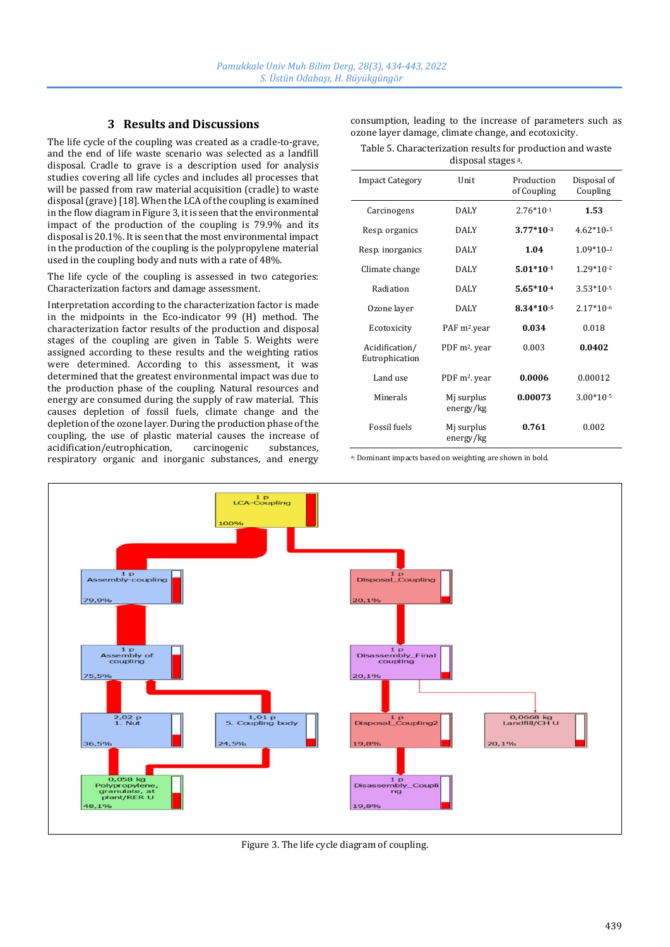# **3 Results and Discussions**

The life cycle of the coupling was created as a cradle-to-grave, and the end of life waste scenario was selected as a landfill disposal. Cradle to grave is a description used for analysis studies covering all life cycles and includes all processes that will be passed from raw material acquisition (cradle) to waste disposal (grave) [18]. When the LCA of the coupling is examined in the flow diagram in Figure 3, it is seen that the environmental impact of the production of the coupling is 79.9% and its disposal is 20.1%. It is seen that the most environmental impact in the production of the coupling is the polypropylene material used in the coupling body and nuts with a rate of 48%.

The life cycle of the coupling is assessed in two categories: Characterization factors and damage assessment.

Interpretation according to the characterization factor is made in the midpoints in the Eco-indicator 99 (H) method. The characterization factor results of the production and disposal stages of the coupling are given in Table 5. Weights were assigned according to these results and the weighting ratios were determined. According to this assessment, it was determined that the greatest environmental impact was due to the production phase of the coupling. Natural resources and energy are consumed during the supply of raw material. This causes depletion of fossil fuels, climate change and the depletion of the ozone layer. During the production phase of the coupling, the use of plastic material causes the increase of acidification/eutrophication, carcinogenic substances, respiratory organic and inorganic substances, and energy

consumption, leading to the increase of parameters such as ozone layer damage, climate change, and ecotoxicity.

Table 5. Characterization results for production and waste disposal stages a.

| <b>Impact Category</b>           | Unit                      | Production<br>of Coupling | Disposal of<br>Coupling |
|----------------------------------|---------------------------|---------------------------|-------------------------|
| Carcinogens                      | <b>DALY</b>               | $2.76*10-1$               | 1.53                    |
| Resp. organics                   | <b>DALY</b>               | $3.77*10^{-3}$            | $4.62*10-5$             |
| Resp. inorganics                 | <b>DALY</b>               | 1.04                      | $1.09*10-2$             |
| Climate change                   | <b>DALY</b>               | $5.01*10-1$               | $1.29*10-2$             |
| Radiation                        | <b>DALY</b>               | $5.65*10-4$               | $3.53*10-5$             |
| Ozone layer                      | <b>DALY</b>               | $8.34*10-5$               | $2.17*10-6$             |
| Ecotoxicity                      | PAF m <sup>2</sup> .year  | 0.034                     | 0.018                   |
| Acidification/<br>Eutrophication | PDF m <sup>2</sup> . year | 0.003                     | 0.0402                  |
| Land use                         | PDF m <sup>2</sup> . year | 0.0006                    | 0.00012                 |
| Minerals                         | Mj surplus<br>energy/kg   | 0.00073                   | $3.00*10-5$             |
| <b>Fossil</b> fuels              | Mj surplus<br>energy/kg   | 0.761                     | 0.002                   |

a: Dominant impacts based on weighting are shown in bold.



Figure 3. The life cycle diagram of coupling.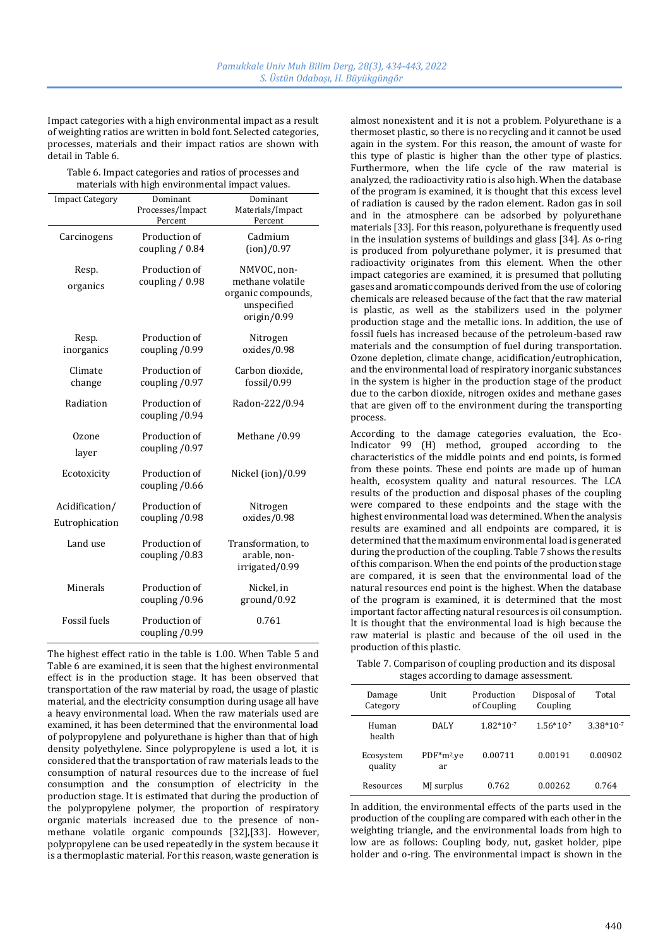Impact categories with a high environmental impact as a result of weighting ratios are written in bold font. Selected categories, processes, materials and their impact ratios are shown with detail in Table 6.

Table 6. Impact categories and ratios of processes and materials with high environmental impact values.

| <b>Impact Category</b>           | Dominant<br>Processes/Impact<br>Percent | Dominant<br>Materials/Impact<br>Percent                                             |
|----------------------------------|-----------------------------------------|-------------------------------------------------------------------------------------|
| Carcinogens                      | Production of<br>coupling / 0.84        | Cadmium<br>(ion)/0.97                                                               |
| Resp.<br>organics                | Production of<br>coupling $/ 0.98$      | NMVOC, non-<br>methane volatile<br>organic compounds,<br>unspecified<br>origin/0.99 |
| Resp.<br>inorganics              | Production of<br>coupling /0.99         | Nitrogen<br>oxides/0.98                                                             |
| Climate<br>change                | Production of<br>coupling /0.97         | Carbon dioxide,<br>fossil/0.99                                                      |
| Radiation                        | Production of<br>coupling /0.94         | Radon-222/0.94                                                                      |
| Ozone<br>layer                   | Production of<br>coupling /0.97         | Methane /0.99                                                                       |
| Ecotoxicity                      | Production of<br>coupling /0.66         | Nickel (ion)/0.99                                                                   |
| Acidification/<br>Eutrophication | Production of<br>coupling /0.98         | Nitrogen<br>oxides/0.98                                                             |
| Land use                         | Production of<br>coupling /0.83         | Transformation, to<br>arable, non-<br>irrigated/0.99                                |
| Minerals                         | Production of<br>coupling /0.96         | Nickel, in<br>ground/0.92                                                           |
| <b>Fossil</b> fuels              | Production of<br>coupling /0.99         | 0.761                                                                               |

The highest effect ratio in the table is 1.00. When Table 5 and Table 6 are examined, it is seen that the highest environmental effect is in the production stage. It has been observed that transportation of the raw material by road, the usage of plastic material, and the electricity consumption during usage all have a heavy environmental load. When the raw materials used are examined, it has been determined that the environmental load of polypropylene and polyurethane is higher than that of high density polyethylene. Since polypropylene is used a lot, it is considered that the transportation of raw materials leads to the consumption of natural resources due to the increase of fuel consumption and the consumption of electricity in the production stage. It is estimated that during the production of the polypropylene polymer, the proportion of respiratory organic materials increased due to the presence of nonmethane volatile organic compounds [32],[33]. However, polypropylene can be used repeatedly in the system because it is a thermoplastic material. For this reason, waste generation is almost nonexistent and it is not a problem. Polyurethane is a thermoset plastic, so there is no recycling and it cannot be used again in the system. For this reason, the amount of waste for this type of plastic is higher than the other type of plastics. Furthermore, when the life cycle of the raw material is analyzed, the radioactivity ratio is also high. When the database of the program is examined, it is thought that this excess level of radiation is caused by the radon element. Radon gas in soil and in the atmosphere can be adsorbed by polyurethane materials [33]. For this reason, polyurethane is frequently used in the insulation systems of buildings and glass [34]. As o-ring is produced from polyurethane polymer, it is presumed that radioactivity originates from this element. When the other impact categories are examined, it is presumed that polluting gases and aromatic compounds derived from the use of coloring chemicals are released because of the fact that the raw material is plastic, as well as the stabilizers used in the polymer production stage and the metallic ions. In addition, the use of fossil fuels has increased because of the petroleum-based raw materials and the consumption of fuel during transportation. Ozone depletion, climate change, acidification/eutrophication, and the environmental load of respiratory inorganic substances in the system is higher in the production stage of the product due to the carbon dioxide, nitrogen oxides and methane gases that are given off to the environment during the transporting process.

According to the damage categories evaluation, the Eco-Indicator 99 (H) method, grouped according to the characteristics of the middle points and end points, is formed from these points. These end points are made up of human health, ecosystem quality and natural resources. The LCA results of the production and disposal phases of the coupling were compared to these endpoints and the stage with the highest environmental load was determined. When the analysis results are examined and all endpoints are compared, it is determined that the maximum environmental load is generated during the production of the coupling. Table 7 shows the results of this comparison. When the end points of the production stage are compared, it is seen that the environmental load of the natural resources end point is the highest. When the database of the program is examined, it is determined that the most important factor affecting natural resources is oil consumption. It is thought that the environmental load is high because the raw material is plastic and because of the oil used in the production of this plastic.

Table 7. Comparison of coupling production and its disposal stages according to damage assessment.

| Damage<br>Category   | Unit                         | Production<br>of Coupling | Disposal of<br>Coupling | Total       |
|----------------------|------------------------------|---------------------------|-------------------------|-------------|
| Human<br>health      | DALY                         | $1.82*10-7$               | $1.56*10-7$             | $3.38*10-7$ |
| Ecosystem<br>quality | PDF*m <sup>2</sup> .ye<br>ar | 0.00711                   | 0.00191                 | 0.00902     |
| Resources            | MJ surplus                   | 0.762                     | 0.00262                 | 0.764       |

In addition, the environmental effects of the parts used in the production of the coupling are compared with each other in the weighting triangle, and the environmental loads from high to low are as follows: Coupling body, nut, gasket holder, pipe holder and o-ring. The environmental impact is shown in the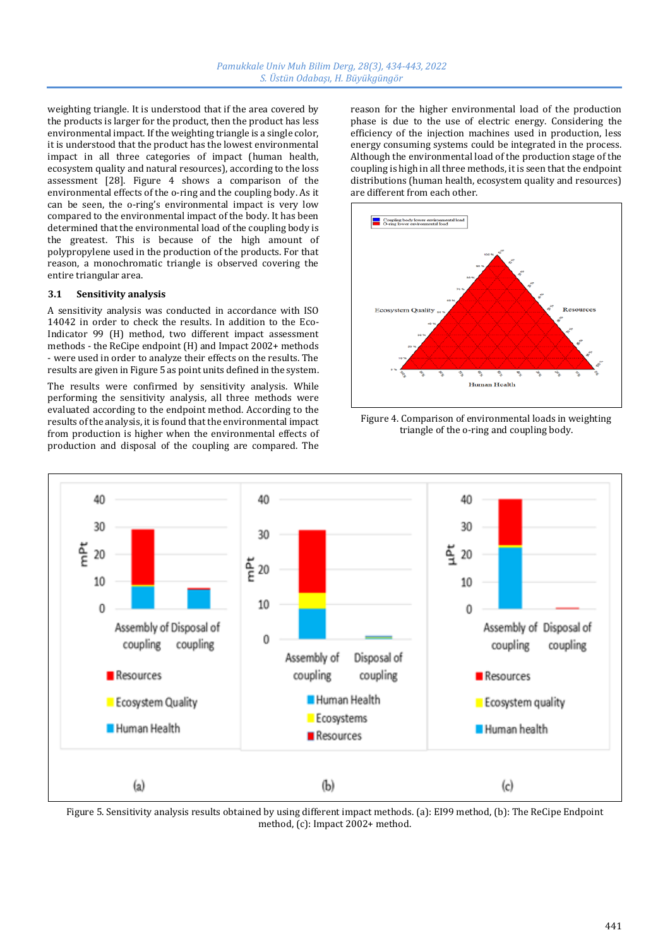weighting triangle. It is understood that if the area covered by the products is larger for the product, then the product has less environmental impact. If the weighting triangle is a single color, it is understood that the product has the lowest environmental impact in all three categories of impact (human health, ecosystem quality and natural resources), according to the loss assessment [28]. Figure 4 shows a comparison of the environmental effects of the o-ring and the coupling body. As it can be seen, the o-ring's environmental impact is very low compared to the environmental impact of the body. It has been determined that the environmental load of the coupling body is the greatest. This is because of the high amount of polypropylene used in the production of the products. For that reason, a monochromatic triangle is observed covering the entire triangular area.

#### **3.1 Sensitivity analysis**

A sensitivity analysis was conducted in accordance with ISO 14042 in order to check the results. In addition to the Eco-Indicator 99 (H) method, two different impact assessment methods - the ReCipe endpoint (H) and Impact 2002+ methods - were used in order to analyze their effects on the results. The results are given in Figure 5 as point units defined in the system.

The results were confirmed by sensitivity analysis. While performing the sensitivity analysis, all three methods were evaluated according to the endpoint method. According to the results of the analysis, it is found that the environmental impact from production is higher when the environmental effects of production and disposal of the coupling are compared. The

reason for the higher environmental load of the production phase is due to the use of electric energy. Considering the efficiency of the injection machines used in production, less energy consuming systems could be integrated in the process. Although the environmental load of the production stage of the coupling is high in all three methods, it is seen that the endpoint distributions (human health, ecosystem quality and resources) are different from each other.



Figure 4. Comparison of environmental loads in weighting triangle of the o-ring and coupling body.



Figure 5. Sensitivity analysis results obtained by using different impact methods. (a): EI99 method, (b): The ReCipe Endpoint method, (c): Impact 2002+ method.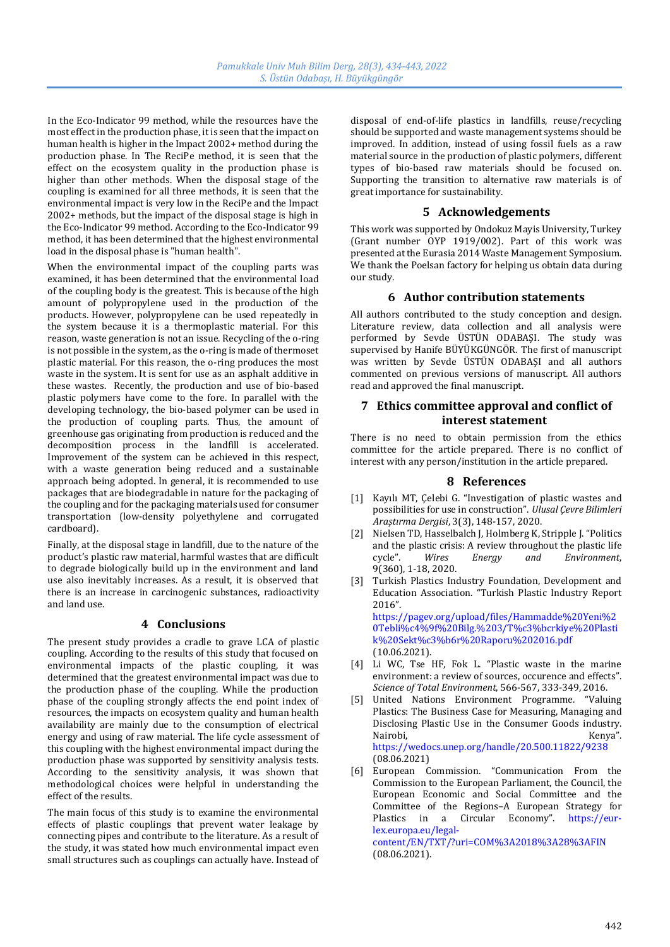In the Eco-Indicator 99 method, while the resources have the most effect in the production phase, it is seen that the impact on human health is higher in the Impact 2002+ method during the production phase. In The ReciPe method, it is seen that the effect on the ecosystem quality in the production phase is higher than other methods. When the disposal stage of the coupling is examined for all three methods, it is seen that the environmental impact is very low in the ReciPe and the Impact 2002+ methods, but the impact of the disposal stage is high in the Eco-Indicator 99 method. According to the Eco-Indicator 99 method, it has been determined that the highest environmental load in the disposal phase is "human health".

When the environmental impact of the coupling parts was examined, it has been determined that the environmental load of the coupling body is the greatest. This is because of the high amount of polypropylene used in the production of the products. However, polypropylene can be used repeatedly in the system because it is a thermoplastic material. For this reason, waste generation is not an issue. Recycling of the o-ring is not possible in the system, as the o-ring is made of thermoset plastic material. For this reason, the o-ring produces the most waste in the system. It is sent for use as an asphalt additive in these wastes. Recently, the production and use of bio-based plastic polymers have come to the fore. In parallel with the developing technology, the bio-based polymer can be used in the production of coupling parts. Thus, the amount of greenhouse gas originating from production is reduced and the decomposition process in the landfill is accelerated. Improvement of the system can be achieved in this respect, with a waste generation being reduced and a sustainable approach being adopted. In general, it is recommended to use packages that are biodegradable in nature for the packaging of the coupling and for the packaging materials used for consumer transportation (low-density polyethylene and corrugated cardboard).

Finally, at the disposal stage in landfill, due to the nature of the product's plastic raw material, harmful wastes that are difficult to degrade biologically build up in the environment and land use also inevitably increases. As a result, it is observed that there is an increase in carcinogenic substances, radioactivity and land use.

# **4 Conclusions**

The present study provides a cradle to grave LCA of plastic coupling. According to the results of this study that focused on environmental impacts of the plastic coupling, it was determined that the greatest environmental impact was due to the production phase of the coupling. While the production phase of the coupling strongly affects the end point index of resources, the impacts on ecosystem quality and human health availability are mainly due to the consumption of electrical energy and using of raw material. The life cycle assessment of this coupling with the highest environmental impact during the production phase was supported by sensitivity analysis tests. According to the sensitivity analysis, it was shown that methodological choices were helpful in understanding the effect of the results.

The main focus of this study is to examine the environmental effects of plastic couplings that prevent water leakage by connecting pipes and contribute to the literature. As a result of the study, it was stated how much environmental impact even small structures such as couplings can actually have. Instead of disposal of end-of-life plastics in landfills, reuse/recycling should be supported and waste management systems should be improved. In addition, instead of using fossil fuels as a raw material source in the production of plastic polymers, different types of bio-based raw materials should be focused on. Supporting the transition to alternative raw materials is of great importance for sustainability.

# **5 Acknowledgements**

This work was supported by Ondokuz Mayis University, Turkey (Grant number OYP 1919/002). Part of this work was presented at the Eurasia 2014 Waste Management Symposium. We thank the Poelsan factory for helping us obtain data during our study.

# **6 Author contribution statements**

All authors contributed to the study conception and design. Literature review, data collection and all analysis were performed by Sevde ÜSTÜN ODABAŞI. The study was supervised by Hanife BÜYÜKGÜNGÖR. The first of manuscript was written by Sevde ÜSTÜN ODABAŞI and all authors commented on previous versions of manuscript. All authors read and approved the final manuscript.

# **7 Ethics committee approval and conflict of interest statement**

There is no need to obtain permission from the ethics committee for the article prepared. There is no conflict of interest with any person/institution in the article prepared.

### **8 References**

- [1] Kayılı MT, Çelebi G. "Investigation of plastic wastes and possibilities for use in construction". *Ulusal Çevre Bilimleri Araştırma Dergisi*, 3(3), 148-157, 2020.
- [2] Nielsen TD, Hasselbalch J, Holmberg K, Stripple J. "Politics and the plastic crisis: A review throughout the plastic life cycle". *Wires Energy and Environment*, 9(360), 1-18, 2020.
- [3] Turkish Plastics Industry Foundation, Development and Education Association. "Turkish Plastic Industry Report 2016". [https://pagev.org/upload/files/Hammadde%20Yeni%2](https://pagev.org/upload/files/Hammadde%20Yeni%20Tebli%c4%9f%20Bilg.%203/T%c3%bcrkiye%20Plastik%20Sekt%c3%b6r%20Raporu%202016.pdf) [0Tebli%c4%9f%20Bilg.%203/T%c3%bcrkiye%20Plasti](https://pagev.org/upload/files/Hammadde%20Yeni%20Tebli%c4%9f%20Bilg.%203/T%c3%bcrkiye%20Plastik%20Sekt%c3%b6r%20Raporu%202016.pdf) [k%20Sekt%c3%b6r%20Raporu%202016.pdf](https://pagev.org/upload/files/Hammadde%20Yeni%20Tebli%c4%9f%20Bilg.%203/T%c3%bcrkiye%20Plastik%20Sekt%c3%b6r%20Raporu%202016.pdf) (10.06.2021).
- [4] Li WC, Tse HF, Fok L. "Plastic waste in the marine environment: a review of sources, occurence and effects". *Science of Total Environment*, 566-567, 333-349, 2016.
- [5] United Nations Environment Programme. "Valuing Plastics: The Business Case for Measuring, Managing and Disclosing Plastic Use in the Consumer Goods industry. Nairobi, Kenya", Kenya", Kenya (Kenya) <https://wedocs.unep.org/handle/20.500.11822/9238> (08.06.2021)
- [6] European Commission. "Communication From the Commission to the European Parliament, the Council, the European Economic and Social Committee and the Committee of the Regions–A European Strategy for Plastics in a Circular Economy". [https://eur](https://eur-lex.europa.eu/legal-content/EN/TXT/?uri=COM%3A2018%3A28%3AFIN)[lex.europa.eu/legal](https://eur-lex.europa.eu/legal-content/EN/TXT/?uri=COM%3A2018%3A28%3AFIN)[content/EN/TXT/?uri=COM%3A2018%3A28%3AFIN](https://eur-lex.europa.eu/legal-content/EN/TXT/?uri=COM%3A2018%3A28%3AFIN) (08.06.2021).